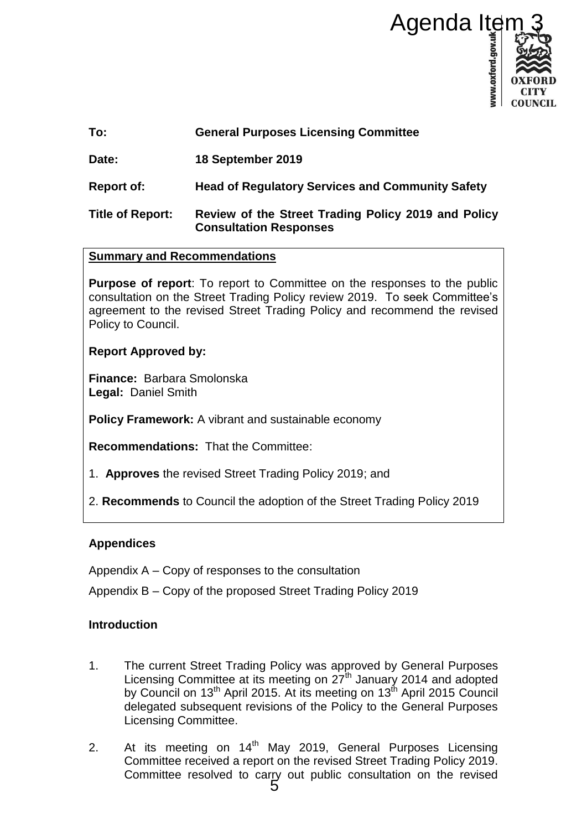

**Date: 18 September 2019** 

**Report of: Head of Regulatory Services and Community Safety**

# **Title of Report: Review of the Street Trading Policy 2019 and Policy Consultation Responses**

## **Summary and Recommendations**

**Purpose of report**: To report to Committee on the responses to the public consultation on the Street Trading Policy review 2019. To seek Committee's agreement to the revised Street Trading Policy and recommend the revised Policy to Council.

## **Report Approved by:**

**Finance:** Barbara Smolonska **Legal:** Daniel Smith

**Policy Framework:** A vibrant and sustainable economy

**Recommendations:** That the Committee:

- 1. **Approves** the revised Street Trading Policy 2019; and
- 2. **Recommends** to Council the adoption of the Street Trading Policy 2019

## **Appendices**

Appendix A – Copy of responses to the consultation

Appendix B – Copy of the proposed Street Trading Policy 2019

## **Introduction**

- 1. The current Street Trading Policy was approved by General Purposes Licensing Committee at its meeting on 27<sup>th</sup> January 2014 and adopted by Council on 13<sup>th</sup> April 2015. At its meeting on 13<sup>th</sup> April 2015 Council delegated subsequent revisions of the Policy to the General Purposes Licensing Committee.
- 2. At its meeting on 14<sup>th</sup> May 2019, General Purposes Licensing Committee received a report on the revised Street Trading Policy 2019. Committee resolved to carry out public consultation on the revised